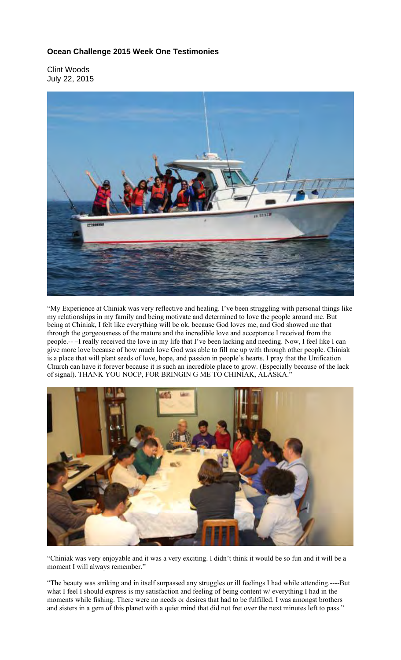## **Ocean Challenge 2015 Week One Testimonies**

Clint Woods July 22, 2015



"My Experience at Chiniak was very reflective and healing. I've been struggling with personal things like my relationships in my family and being motivate and determined to love the people around me. But being at Chiniak, I felt like everything will be ok, because God loves me, and God showed me that through the gorgeousness of the mature and the incredible love and acceptance I received from the people.-- –I really received the love in my life that I've been lacking and needing. Now, I feel like I can give more love because of how much love God was able to fill me up with through other people. Chiniak is a place that will plant seeds of love, hope, and passion in people's hearts. I pray that the Unification Church can have it forever because it is such an incredible place to grow. (Especially because of the lack of signal). THANK YOU NOCP, FOR BRINGIN G ME TO CHINIAK, ALASKA.'



"Chiniak was very enjoyable and it was a very exciting. I didn't think it would be so fun and it will be a moment I will always remember."

"The beauty was striking and in itself surpassed any struggles or ill feelings I had while attending.----But what I feel I should express is my satisfaction and feeling of being content w/ everything I had in the moments while fishing. There were no needs or desires that had to be fulfilled. I was amongst brothers and sisters in a gem of this planet with a quiet mind that did not fret over the next minutes left to pass."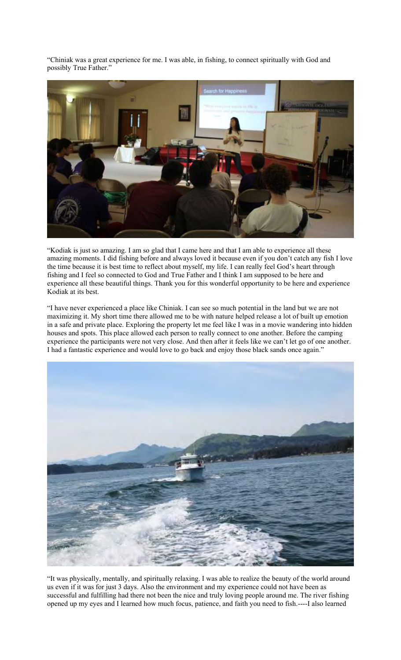"Chiniak was a great experience for me. I was able, in fishing, to connect spiritually with God and possibly True Father."



"Kodiak is just so amazing. I am so glad that I came here and that I am able to experience all these amazing moments. I did fishing before and always loved it because even if you don't catch any fish I love the time because it is best time to reflect about myself, my life. I can really feel God's heart through fishing and I feel so connected to God and True Father and I think I am supposed to be here and experience all these beautiful things. Thank you for this wonderful opportunity to be here and experience Kodiak at its best.

"I have never experienced a place like Chiniak. I can see so much potential in the land but we are not maximizing it. My short time there allowed me to be with nature helped release a lot of built up emotion in a safe and private place. Exploring the property let me feel like I was in a movie wandering into hidden houses and spots. This place allowed each person to really connect to one another. Before the camping experience the participants were not very close. And then after it feels like we can't let go of one another. I had a fantastic experience and would love to go back and enjoy those black sands once again."



"It was physically, mentally, and spiritually relaxing. I was able to realize the beauty of the world around us even if it was for just 3 days. Also the environment and my experience could not have been as successful and fulfilling had there not been the nice and truly loving people around me. The river fishing opened up my eyes and I learned how much focus, patience, and faith you need to fish.----I also learned